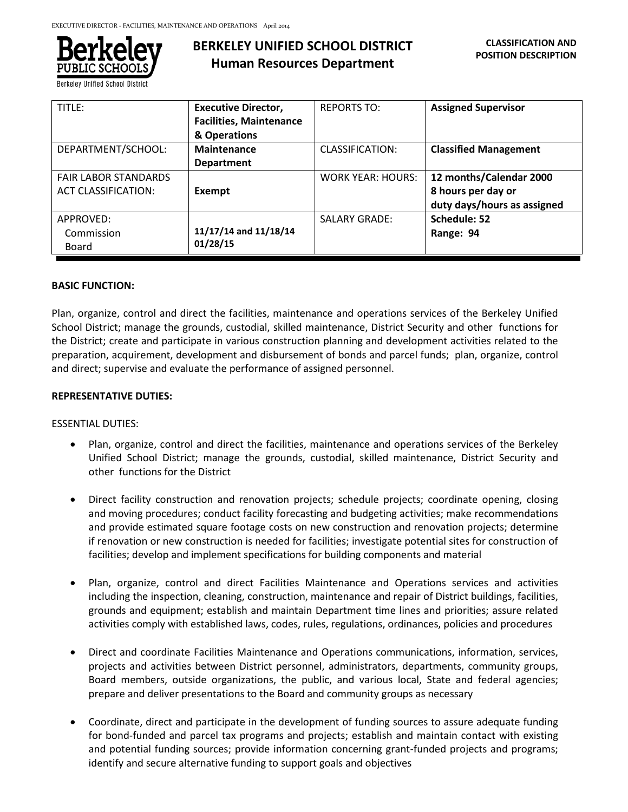

**Berkeley Unified School Distric** 

# **BERKELEY UNIFIED SCHOOL DISTRICT Human Resources Department**

| TITLE:                                                    | <b>Executive Director,</b><br><b>Facilities, Maintenance</b><br>& Operations | <b>REPORTS TO:</b>       | <b>Assigned Supervisor</b>                                                   |
|-----------------------------------------------------------|------------------------------------------------------------------------------|--------------------------|------------------------------------------------------------------------------|
| DEPARTMENT/SCHOOL:                                        | Maintenance<br><b>Department</b>                                             | CLASSIFICATION:          | <b>Classified Management</b>                                                 |
| <b>FAIR LABOR STANDARDS</b><br><b>ACT CLASSIFICATION:</b> | Exempt                                                                       | <b>WORK YEAR: HOURS:</b> | 12 months/Calendar 2000<br>8 hours per day or<br>duty days/hours as assigned |
| APPROVED:<br>Commission<br>Board                          | 11/17/14 and 11/18/14<br>01/28/15                                            | <b>SALARY GRADE:</b>     | Schedule: 52<br>Range: 94                                                    |

#### **BASIC FUNCTION:**

Plan, organize, control and direct the facilities, maintenance and operations services of the Berkeley Unified School District; manage the grounds, custodial, skilled maintenance, District Security and other functions for the District; create and participate in various construction planning and development activities related to the preparation, acquirement, development and disbursement of bonds and parcel funds; plan, organize, control and direct; supervise and evaluate the performance of assigned personnel.

## **REPRESENTATIVE DUTIES:**

#### ESSENTIAL DUTIES:

- Plan, organize, control and direct the facilities, maintenance and operations services of the Berkeley Unified School District; manage the grounds, custodial, skilled maintenance, District Security and other functions for the District
- Direct facility construction and renovation projects; schedule projects; coordinate opening, closing and moving procedures; conduct facility forecasting and budgeting activities; make recommendations and provide estimated square footage costs on new construction and renovation projects; determine if renovation or new construction is needed for facilities; investigate potential sites for construction of facilities; develop and implement specifications for building components and material
- Plan, organize, control and direct Facilities Maintenance and Operations services and activities including the inspection, cleaning, construction, maintenance and repair of District buildings, facilities, grounds and equipment; establish and maintain Department time lines and priorities; assure related activities comply with established laws, codes, rules, regulations, ordinances, policies and procedures
- Direct and coordinate Facilities Maintenance and Operations communications, information, services, projects and activities between District personnel, administrators, departments, community groups, Board members, outside organizations, the public, and various local, State and federal agencies; prepare and deliver presentations to the Board and community groups as necessary
- Coordinate, direct and participate in the development of funding sources to assure adequate funding for bond-funded and parcel tax programs and projects; establish and maintain contact with existing and potential funding sources; provide information concerning grant-funded projects and programs; identify and secure alternative funding to support goals and objectives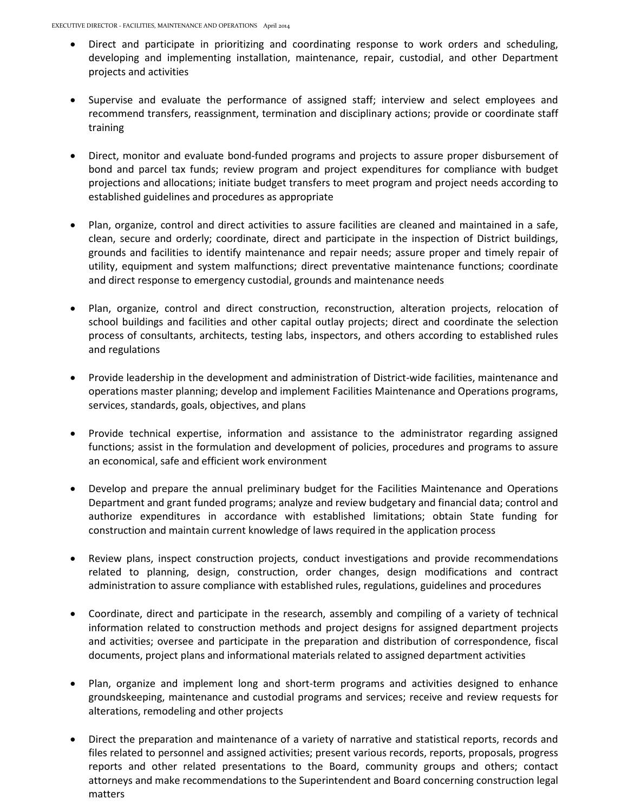- Direct and participate in prioritizing and coordinating response to work orders and scheduling, developing and implementing installation, maintenance, repair, custodial, and other Department projects and activities
- Supervise and evaluate the performance of assigned staff; interview and select employees and recommend transfers, reassignment, termination and disciplinary actions; provide or coordinate staff training
- Direct, monitor and evaluate bond-funded programs and projects to assure proper disbursement of bond and parcel tax funds; review program and project expenditures for compliance with budget projections and allocations; initiate budget transfers to meet program and project needs according to established guidelines and procedures as appropriate
- Plan, organize, control and direct activities to assure facilities are cleaned and maintained in a safe, clean, secure and orderly; coordinate, direct and participate in the inspection of District buildings, grounds and facilities to identify maintenance and repair needs; assure proper and timely repair of utility, equipment and system malfunctions; direct preventative maintenance functions; coordinate and direct response to emergency custodial, grounds and maintenance needs
- Plan, organize, control and direct construction, reconstruction, alteration projects, relocation of school buildings and facilities and other capital outlay projects; direct and coordinate the selection process of consultants, architects, testing labs, inspectors, and others according to established rules and regulations
- Provide leadership in the development and administration of District-wide facilities, maintenance and operations master planning; develop and implement Facilities Maintenance and Operations programs, services, standards, goals, objectives, and plans
- Provide technical expertise, information and assistance to the administrator regarding assigned functions; assist in the formulation and development of policies, procedures and programs to assure an economical, safe and efficient work environment
- Develop and prepare the annual preliminary budget for the Facilities Maintenance and Operations Department and grant funded programs; analyze and review budgetary and financial data; control and authorize expenditures in accordance with established limitations; obtain State funding for construction and maintain current knowledge of laws required in the application process
- Review plans, inspect construction projects, conduct investigations and provide recommendations related to planning, design, construction, order changes, design modifications and contract administration to assure compliance with established rules, regulations, guidelines and procedures
- Coordinate, direct and participate in the research, assembly and compiling of a variety of technical information related to construction methods and project designs for assigned department projects and activities; oversee and participate in the preparation and distribution of correspondence, fiscal documents, project plans and informational materials related to assigned department activities
- Plan, organize and implement long and short-term programs and activities designed to enhance groundskeeping, maintenance and custodial programs and services; receive and review requests for alterations, remodeling and other projects
- Direct the preparation and maintenance of a variety of narrative and statistical reports, records and files related to personnel and assigned activities; present various records, reports, proposals, progress reports and other related presentations to the Board, community groups and others; contact attorneys and make recommendations to the Superintendent and Board concerning construction legal matters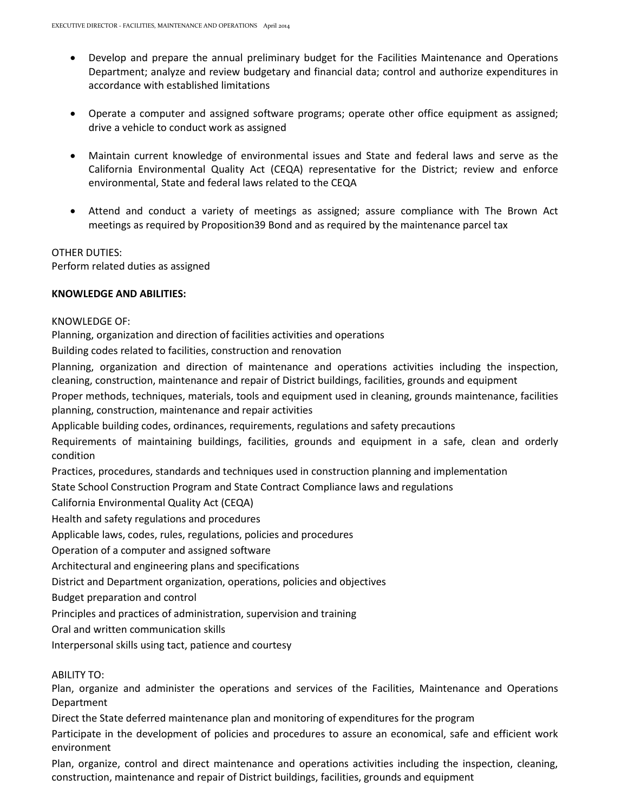- Develop and prepare the annual preliminary budget for the Facilities Maintenance and Operations Department; analyze and review budgetary and financial data; control and authorize expenditures in accordance with established limitations
- Operate a computer and assigned software programs; operate other office equipment as assigned; drive a vehicle to conduct work as assigned
- Maintain current knowledge of environmental issues and State and federal laws and serve as the California Environmental Quality Act (CEQA) representative for the District; review and enforce environmental, State and federal laws related to the CEQA
- Attend and conduct a variety of meetings as assigned; assure compliance with The Brown Act meetings as required by Proposition39 Bond and as required by the maintenance parcel tax

#### OTHER DUTIES:

Perform related duties as assigned

# **KNOWLEDGE AND ABILITIES:**

#### KNOWLEDGE OF:

Planning, organization and direction of facilities activities and operations

Building codes related to facilities, construction and renovation

Planning, organization and direction of maintenance and operations activities including the inspection, cleaning, construction, maintenance and repair of District buildings, facilities, grounds and equipment

Proper methods, techniques, materials, tools and equipment used in cleaning, grounds maintenance, facilities planning, construction, maintenance and repair activities

Applicable building codes, ordinances, requirements, regulations and safety precautions

Requirements of maintaining buildings, facilities, grounds and equipment in a safe, clean and orderly condition

Practices, procedures, standards and techniques used in construction planning and implementation

State School Construction Program and State Contract Compliance laws and regulations

California Environmental Quality Act (CEQA)

Health and safety regulations and procedures

Applicable laws, codes, rules, regulations, policies and procedures

Operation of a computer and assigned software

Architectural and engineering plans and specifications

District and Department organization, operations, policies and objectives

Budget preparation and control

Principles and practices of administration, supervision and training

Oral and written communication skills

Interpersonal skills using tact, patience and courtesy

#### ABILITY TO:

Plan, organize and administer the operations and services of the Facilities, Maintenance and Operations Department

Direct the State deferred maintenance plan and monitoring of expenditures for the program

Participate in the development of policies and procedures to assure an economical, safe and efficient work environment

Plan, organize, control and direct maintenance and operations activities including the inspection, cleaning, construction, maintenance and repair of District buildings, facilities, grounds and equipment